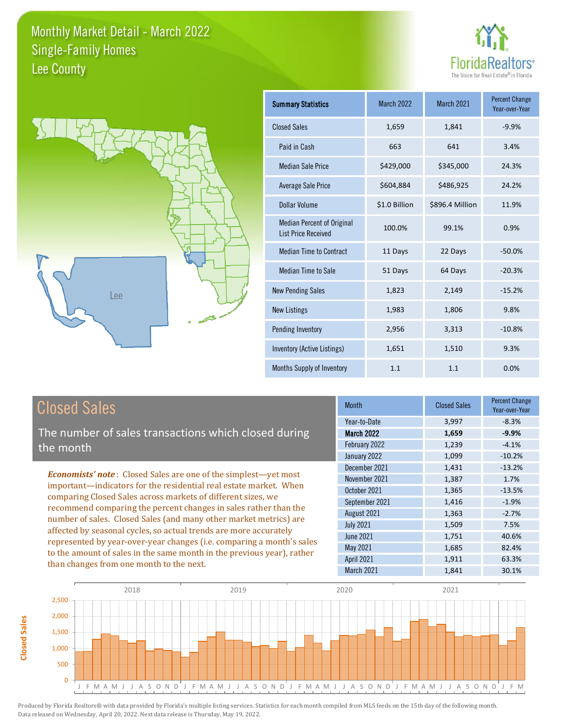



| <b>Summary Statistics</b>                                       | <b>March 2022</b> | March 2021      | <b>Percent Change</b><br>Year-over-Year |
|-----------------------------------------------------------------|-------------------|-----------------|-----------------------------------------|
| <b>Closed Sales</b>                                             | 1,659             | 1,841           | $-9.9%$                                 |
| Paid in Cash                                                    | 663               | 641             | 3.4%                                    |
| <b>Median Sale Price</b>                                        | \$429,000         | \$345,000       | 24.3%                                   |
| <b>Average Sale Price</b>                                       | \$604,884         | \$486,925       | 24.2%                                   |
| Dollar Volume                                                   | \$1.0 Billion     | \$896.4 Million | 11.9%                                   |
| <b>Median Percent of Original</b><br><b>List Price Received</b> | 100.0%            | 99.1%           | 0.9%                                    |
| <b>Median Time to Contract</b>                                  | 11 Days           | 22 Days         | $-50.0%$                                |
| <b>Median Time to Sale</b>                                      | 51 Days           | 64 Days         | $-20.3%$                                |
| <b>New Pending Sales</b>                                        | 1,823             | 2,149           | $-15.2%$                                |
| <b>New Listings</b>                                             | 1,983             | 1,806           | 9.8%                                    |
| Pending Inventory                                               | 2,956             | 3,313           | $-10.8%$                                |
| Inventory (Active Listings)                                     | 1,651             | 1,510           | 9.3%                                    |
| <b>Months Supply of Inventory</b>                               | 1.1               | 1.1             | 0.0%                                    |

# Closed Sales

The number of sales transactions which closed during the month

*Economists' note* : Closed Sales are one of the simplest—yet most important—indicators for the residential real estate market. When comparing Closed Sales across markets of different sizes, we recommend comparing the percent changes in sales rather than the number of sales. Closed Sales (and many other market metrics) are affected by seasonal cycles, so actual trends are more accurately represented by year-over-year changes (i.e. comparing a month's sales to the amount of sales in the same month in the previous year), rather than changes from one month to the next.

| <b>Month</b>      | <b>Closed Sales</b> | <b>Percent Change</b><br>Year-over-Year |
|-------------------|---------------------|-----------------------------------------|
| Year-to-Date      | 3,997               | $-8.3%$                                 |
| <b>March 2022</b> | 1,659               | $-9.9%$                                 |
| February 2022     | 1,239               | $-4.1%$                                 |
| January 2022      | 1,099               | $-10.2%$                                |
| December 2021     | 1,431               | $-13.2%$                                |
| November 2021     | 1,387               | 1.7%                                    |
| October 2021      | 1,365               | $-13.5%$                                |
| September 2021    | 1,416               | $-1.9%$                                 |
| August 2021       | 1,363               | $-2.7%$                                 |
| <b>July 2021</b>  | 1,509               | 7.5%                                    |
| <b>June 2021</b>  | 1,751               | 40.6%                                   |
| May 2021          | 1,685               | 82.4%                                   |
| <b>April 2021</b> | 1,911               | 63.3%                                   |
| March 2021        | 1,841               | 30.1%                                   |
|                   |                     |                                         |



**Closed Sales**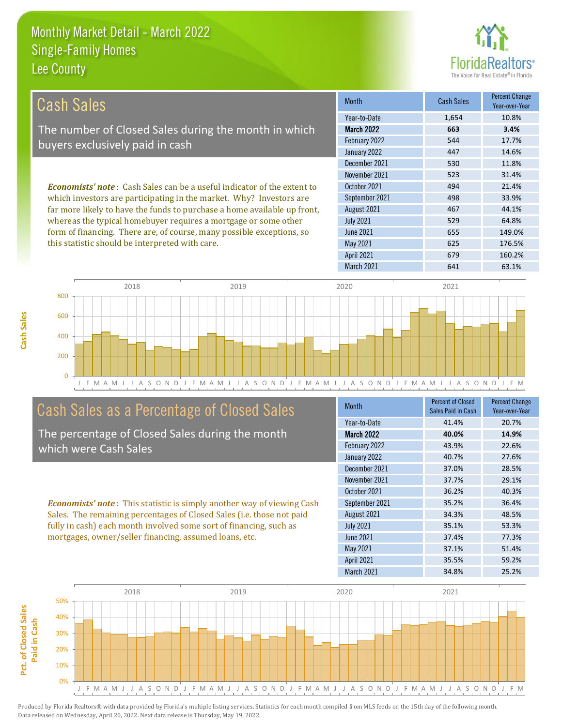

| Cash Sales                                                                                                                                                                                                                                                                                                                                                                    | <b>Month</b>      | <b>Cash Sales</b> | <b>Percent Change</b><br>Year-over-Year |
|-------------------------------------------------------------------------------------------------------------------------------------------------------------------------------------------------------------------------------------------------------------------------------------------------------------------------------------------------------------------------------|-------------------|-------------------|-----------------------------------------|
|                                                                                                                                                                                                                                                                                                                                                                               | Year-to-Date      | 1,654             | 10.8%                                   |
| The number of Closed Sales during the month in which                                                                                                                                                                                                                                                                                                                          | <b>March 2022</b> | 663               | 3.4%                                    |
| buyers exclusively paid in cash                                                                                                                                                                                                                                                                                                                                               | February 2022     | 544               | 17.7%                                   |
|                                                                                                                                                                                                                                                                                                                                                                               | January 2022      | 447               | 14.6%                                   |
|                                                                                                                                                                                                                                                                                                                                                                               | December 2021     | 530               | 11.8%                                   |
|                                                                                                                                                                                                                                                                                                                                                                               | November 2021     | 523               | 31.4%                                   |
| <b>Economists' note:</b> Cash Sales can be a useful indicator of the extent to<br>which investors are participating in the market. Why? Investors are<br>far more likely to have the funds to purchase a home available up front,<br>whereas the typical homebuyer requires a mortgage or some other<br>form of financing. There are, of course, many possible exceptions, so | October 2021      | 494               | 21.4%                                   |
|                                                                                                                                                                                                                                                                                                                                                                               | September 2021    | 498               | 33.9%                                   |
|                                                                                                                                                                                                                                                                                                                                                                               | August 2021       | 467               | 44.1%                                   |
|                                                                                                                                                                                                                                                                                                                                                                               | <b>July 2021</b>  | 529               | 64.8%                                   |
|                                                                                                                                                                                                                                                                                                                                                                               | June 2021         | 655               | 149.0%                                  |
| this statistic should be interpreted with care.                                                                                                                                                                                                                                                                                                                               | May 2021          | 625               | 176.5%                                  |
|                                                                                                                                                                                                                                                                                                                                                                               | <b>April 2021</b> | 679               | 160.2%                                  |





# Cash Sales as a Percentage of Closed Sales

The percentage of Closed Sales during the month which were Cash Sales

*Economists' note* : This statistic is simply another way of viewing Cash Sales. The remaining percentages of Closed Sales (i.e. those not paid fully in cash) each month involved some sort of financing, such as mortgages, owner/seller financing, assumed loans, etc.

| <b>Month</b>      | <b>Percent of Closed</b><br>Sales Paid in Cash | <b>Percent Change</b><br>Year-over-Year |
|-------------------|------------------------------------------------|-----------------------------------------|
| Year-to-Date      | 41.4%                                          | 20.7%                                   |
| <b>March 2022</b> | 40.0%                                          | 14.9%                                   |
| February 2022     | 43.9%                                          | 22.6%                                   |
| January 2022      | 40.7%                                          | 27.6%                                   |
| December 2021     | 37.0%                                          | 28.5%                                   |
| November 2021     | 37.7%                                          | 29.1%                                   |
| October 2021      | 36.2%                                          | 40.3%                                   |
| September 2021    | 35.2%                                          | 36.4%                                   |
| August 2021       | 34.3%                                          | 48.5%                                   |
| <b>July 2021</b>  | 35.1%                                          | 53.3%                                   |
| <b>June 2021</b>  | 37.4%                                          | 77.3%                                   |
| <b>May 2021</b>   | 37.1%                                          | 51.4%                                   |
| <b>April 2021</b> | 35.5%                                          | 59.2%                                   |
| March 2021        | 34.8%                                          | 25.2%                                   |

March 2021 641 63.1%

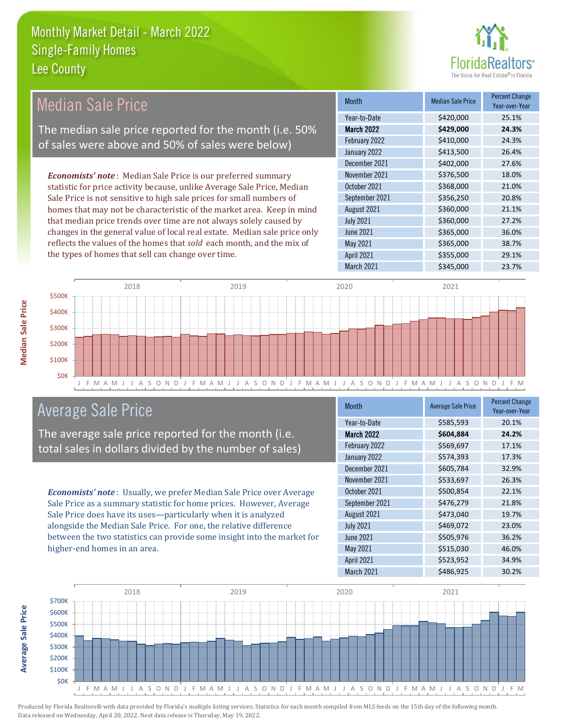

| <b>Median Sale Price</b>                                                  | <b>Month</b>      | <b>Median Sale Price</b> | <b>Percent Change</b> |
|---------------------------------------------------------------------------|-------------------|--------------------------|-----------------------|
|                                                                           |                   |                          | Year-over-Year        |
|                                                                           | Year-to-Date      | \$420,000                | 25.1%                 |
| The median sale price reported for the month (i.e. 50%                    | <b>March 2022</b> | \$429,000                | 24.3%                 |
| of sales were above and 50% of sales were below)                          | February 2022     | \$410,000                | 24.3%                 |
|                                                                           | January 2022      | \$413,500                | 26.4%                 |
|                                                                           | December 2021     | \$402,000                | 27.6%                 |
| <b>Economists' note:</b> Median Sale Price is our preferred summary       | November 2021     | \$376,500                | 18.0%                 |
| statistic for price activity because, unlike Average Sale Price, Median   | October 2021      | \$368,000                | 21.0%                 |
| Sale Price is not sensitive to high sale prices for small numbers of      | September 2021    | \$356,250                | 20.8%                 |
| homes that may not be characteristic of the market area. Keep in mind     | August 2021       | \$360,000                | 21.1%                 |
| that median price trends over time are not always solely caused by        | <b>July 2021</b>  | \$360,000                | 27.2%                 |
| changes in the general value of local real estate. Median sale price only | June 2021         | \$365,000                | 36.0%                 |
| reflects the values of the homes that sold each month, and the mix of     | May 2021          | \$365,000                | 38.7%                 |
| the types of homes that sell can change over time.                        | <b>April 2021</b> | \$355,000                | 29.1%                 |
|                                                                           | March 2021        | \$345,000                | 23.7%                 |



# Average Sale Price

The average sale price reported for the month (i.e. total sales in dollars divided by the number of sales)

*Economists' note* : Usually, we prefer Median Sale Price over Average Sale Price as a summary statistic for home prices. However, Average Sale Price does have its uses—particularly when it is analyzed alongside the Median Sale Price. For one, the relative difference between the two statistics can provide some insight into the market for higher-end homes in an area.

| <b>Month</b>      | <b>Average Sale Price</b> | <b>Percent Change</b><br>Year-over-Year |
|-------------------|---------------------------|-----------------------------------------|
| Year-to-Date      | \$585,593                 | 20.1%                                   |
| March 2022        | \$604,884                 | 24.2%                                   |
| February 2022     | \$569,697                 | 17.1%                                   |
| January 2022      | \$574,393                 | 17.3%                                   |
| December 2021     | \$605,784                 | 32.9%                                   |
| November 2021     | \$533,697                 | 26.3%                                   |
| October 2021      | \$500,854                 | 22.1%                                   |
| September 2021    | \$476,279                 | 21.8%                                   |
| August 2021       | \$473,040                 | 19.7%                                   |
| <b>July 2021</b>  | \$469,072                 | 23.0%                                   |
| <b>June 2021</b>  | \$505,976                 | 36.2%                                   |
| <b>May 2021</b>   | \$515,030                 | 46.0%                                   |
| <b>April 2021</b> | \$523,952                 | 34.9%                                   |
| <b>March 2021</b> | \$486,925                 | 30.2%                                   |



**Average Sale Price**

**Average Sale Price**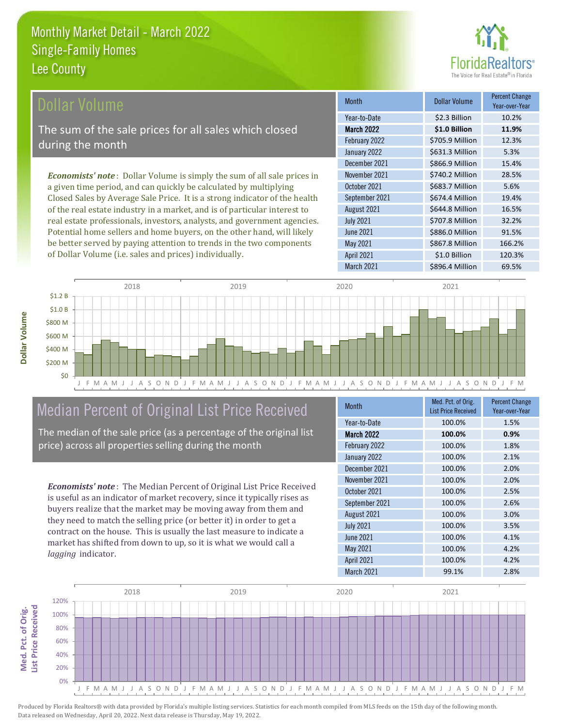# **nrs**<sup>®</sup>

| Dollar Volume                                                                   | <b>Month</b>      | <b>Dollar Volume</b> | <b>Percent Change</b><br>Year-over-Year |
|---------------------------------------------------------------------------------|-------------------|----------------------|-----------------------------------------|
|                                                                                 | Year-to-Date      | \$2.3 Billion        | 10.2%                                   |
| The sum of the sale prices for all sales which closed                           | <b>March 2022</b> | \$1.0 Billion        | 11.9%                                   |
| during the month                                                                | February 2022     | \$705.9 Million      | 12.3%                                   |
|                                                                                 | January 2022      | \$631.3 Million      | 5.3%                                    |
|                                                                                 | December 2021     | \$866.9 Million      | 15.4%                                   |
| <b>Economists' note</b> : Dollar Volume is simply the sum of all sale prices in | November 2021     | \$740.2 Million      | 28.5%                                   |
| a given time period, and can quickly be calculated by multiplying               | October 2021      | \$683.7 Million      | 5.6%                                    |
| Closed Sales by Average Sale Price. It is a strong indicator of the health      | September 2021    | \$674.4 Million      | 19.4%                                   |
| of the real estate industry in a market, and is of particular interest to       | August 2021       | \$644.8 Million      | 16.5%                                   |
| real estate professionals, investors, analysts, and government agencies.        | <b>July 2021</b>  | \$707.8 Million      | 32.2%                                   |
| Potential home sellers and home buyers, on the other hand, will likely          | June 2021         | \$886.0 Million      | 91.5%                                   |
| be better served by paying attention to trends in the two components            | May 2021          | \$867.8 Million      | 166.2%                                  |



# Median Percent of Original List Price Received

of Dollar Volume (i.e. sales and prices) individually.

The median of the sale price (as a percentage of the original list price) across all properties selling during the month

*Economists' note* : The Median Percent of Original List Price Received is useful as an indicator of market recovery, since it typically rises as buyers realize that the market may be moving away from them and they need to match the selling price (or better it) in order to get a contract on the house. This is usually the last measure to indicate a market has shifted from down to up, so it is what we would call a *lagging* indicator.

| <b>Month</b>      | Med. Pct. of Orig.<br><b>List Price Received</b> | <b>Percent Change</b><br>Year-over-Year |
|-------------------|--------------------------------------------------|-----------------------------------------|
| Year-to-Date      | 100.0%                                           | 1.5%                                    |
| <b>March 2022</b> | 100.0%                                           | 0.9%                                    |
| February 2022     | 100.0%                                           | 1.8%                                    |
| January 2022      | 100.0%                                           | 2.1%                                    |
| December 2021     | 100.0%                                           | 2.0%                                    |
| November 2021     | 100.0%                                           | 2.0%                                    |
| October 2021      | 100.0%                                           | 2.5%                                    |
| September 2021    | 100.0%                                           | 2.6%                                    |
| August 2021       | 100.0%                                           | 3.0%                                    |
| <b>July 2021</b>  | 100.0%                                           | 3.5%                                    |
| <b>June 2021</b>  | 100.0%                                           | 4.1%                                    |
| May 2021          | 100.0%                                           | 4.2%                                    |
| <b>April 2021</b> | 100.0%                                           | 4.2%                                    |
| March 2021        | 99.1%                                            | 2.8%                                    |

March 2021 **\$896.4 Million** 69.5%

April 2021 51.0 Billion 120.3%



**Med. Pct. of Orig.** 

Med. Pct. of Orig.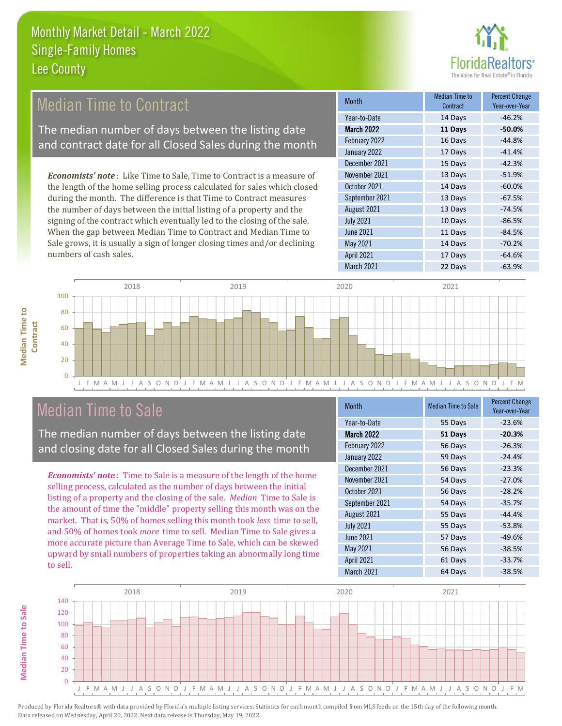

#### 17 Days -41.4% December 2021 15 Days -42.3% Month Month Median Time to **Median Time to Contract** Percent Change Year-over-Year March 2022 **11 Days -50.0%** Year-to-Date 14 Days -46.2% February 2022 **16 Days** -44.8% January 2022 September 2021 13 Days -67.5% November 2021 13 Days -51.9% October 2021 14 Days -60.0% *Economists' note* : Like Time to Sale, Time to Contract is a measure of the length of the home selling process calculated for sales which closed during the month. The difference is that Time to Contract measures Median Time to Contract The median number of days between the listing date and contract date for all Closed Sales during the month

the number of days between the initial listing of a property and the signing of the contract which eventually led to the closing of the sale. When the gap between Median Time to Contract and Median Time to Sale grows, it is usually a sign of longer closing times and/or declining numbers of cash sales.





# Median Time to Sale

The median number of days between the listing date and closing date for all Closed Sales during the month

*Economists' note* : Time to Sale is a measure of the length of the home selling process, calculated as the number of days between the initial listing of a property and the closing of the sale. *Median* Time to Sale is the amount of time the "middle" property selling this month was on the market. That is, 50% of homes selling this month took *less* time to sell, and 50% of homes took *more* time to sell. Median Time to Sale gives a more accurate picture than Average Time to Sale, which can be skewed upward by small numbers of properties taking an abnormally long time to sell.

| <b>Month</b>      | <b>Median Time to Sale</b> | <b>Percent Change</b><br>Year-over-Year |
|-------------------|----------------------------|-----------------------------------------|
| Year-to-Date      | 55 Days                    | $-23.6%$                                |
| <b>March 2022</b> | 51 Days                    | $-20.3%$                                |
| February 2022     | 56 Days                    | $-26.3%$                                |
| January 2022      | 59 Days                    | $-24.4%$                                |
| December 2021     | 56 Days                    | $-23.3%$                                |
| November 2021     | 54 Days                    | $-27.0%$                                |
| October 2021      | 56 Days                    | $-28.2%$                                |
| September 2021    | 54 Days                    | $-35.7%$                                |
| August 2021       | 55 Days                    | $-44.4%$                                |
| <b>July 2021</b>  | 55 Days                    | $-53.8%$                                |
| <b>June 2021</b>  | 57 Days                    | $-49.6%$                                |
| May 2021          | 56 Days                    | $-38.5%$                                |
| <b>April 2021</b> | 61 Days                    | $-33.7%$                                |
| March 2021        | 64 Days                    | $-38.5%$                                |



**Median Time to**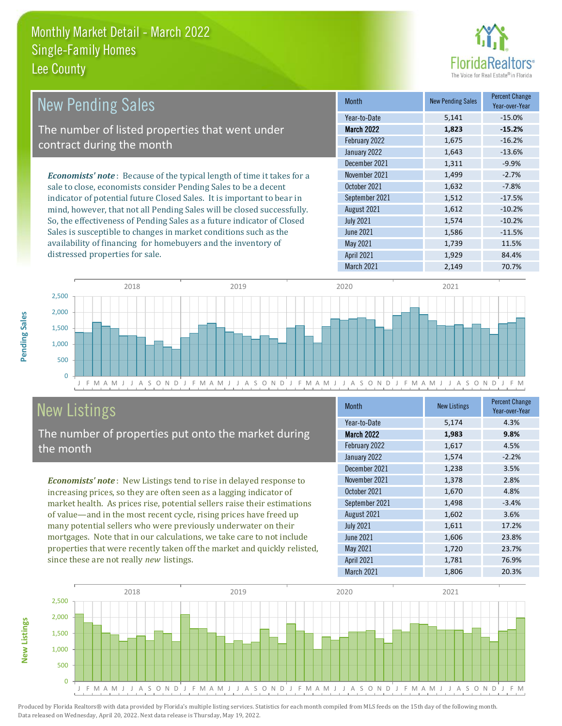

| <b>New Pending Sales</b>                                                      | <b>Month</b>      | <b>New Pending Sales</b> | <b>Percent Change</b><br>Year-over-Year |
|-------------------------------------------------------------------------------|-------------------|--------------------------|-----------------------------------------|
|                                                                               | Year-to-Date      | 5,141                    | $-15.0%$                                |
| The number of listed properties that went under                               | March 2022        | 1,823                    | $-15.2%$                                |
| contract during the month                                                     | February 2022     | 1,675                    | $-16.2%$                                |
|                                                                               | January 2022      | 1,643                    | $-13.6%$                                |
|                                                                               | December 2021     | 1,311                    | $-9.9%$                                 |
| <b>Economists' note:</b> Because of the typical length of time it takes for a | November 2021     | 1,499                    | $-2.7%$                                 |
| sale to close, economists consider Pending Sales to be a decent               | October 2021      | 1,632                    | $-7.8%$                                 |
| indicator of potential future Closed Sales. It is important to bear in        | September 2021    | 1,512                    | $-17.5%$                                |
| mind, however, that not all Pending Sales will be closed successfully.        | August 2021       | 1,612                    | $-10.2%$                                |
| So, the effectiveness of Pending Sales as a future indicator of Closed        | <b>July 2021</b>  | 1,574                    | $-10.2%$                                |
| Sales is susceptible to changes in market conditions such as the              | June 2021         | 1,586                    | $-11.5%$                                |
| availability of financing for homebuyers and the inventory of                 | May 2021          | 1,739                    | 11.5%                                   |
| distressed properties for sale.                                               | <b>April 2021</b> | 1,929                    | 84.4%                                   |



# New Listings

**New Listings**

**Pending Sales**

Pending Sales

The number of properties put onto the market during the month

*Economists' note* : New Listings tend to rise in delayed response to increasing prices, so they are often seen as a lagging indicator of market health. As prices rise, potential sellers raise their estimations of value—and in the most recent cycle, rising prices have freed up many potential sellers who were previously underwater on their mortgages. Note that in our calculations, we take care to not include properties that were recently taken off the market and quickly relisted, since these are not really *new* listings.

| <b>Month</b>      | <b>New Listings</b> | <b>Percent Change</b><br>Year-over-Year |
|-------------------|---------------------|-----------------------------------------|
| Year-to-Date      | 5,174               | 4.3%                                    |
| <b>March 2022</b> | 1,983               | 9.8%                                    |
| February 2022     | 1,617               | 4.5%                                    |
| January 2022      | 1,574               | $-2.2%$                                 |
| December 2021     | 1,238               | 3.5%                                    |
| November 2021     | 1,378               | 2.8%                                    |
| October 2021      | 1,670               | 4.8%                                    |
| September 2021    | 1,498               | $-3.4%$                                 |
| August 2021       | 1,602               | 3.6%                                    |
| <b>July 2021</b>  | 1,611               | 17.2%                                   |
| <b>June 2021</b>  | 1,606               | 23.8%                                   |
| May 2021          | 1,720               | 23.7%                                   |
| <b>April 2021</b> | 1,781               | 76.9%                                   |
| March 2021        | 1,806               | 20.3%                                   |

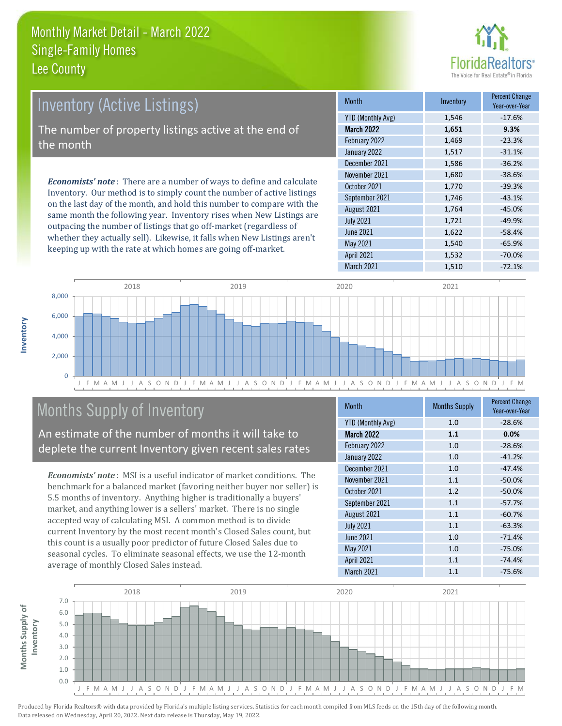

| <b>Inventory (Active Listings)</b>                                                                                                               | <b>Month</b>             | Inventory | <b>Percent Change</b><br>Year-over-Year |
|--------------------------------------------------------------------------------------------------------------------------------------------------|--------------------------|-----------|-----------------------------------------|
|                                                                                                                                                  | <b>YTD (Monthly Avg)</b> | 1,546     | $-17.6%$                                |
| The number of property listings active at the end of                                                                                             | <b>March 2022</b>        | 1,651     | 9.3%                                    |
| the month                                                                                                                                        | February 2022            | 1,469     | $-23.3%$                                |
|                                                                                                                                                  | January 2022             | 1,517     | $-31.1%$                                |
|                                                                                                                                                  | December 2021            | 1,586     | $-36.2%$                                |
| <b>Economists' note</b> : There are a number of ways to define and calculate                                                                     | November 2021            | 1,680     | $-38.6%$                                |
|                                                                                                                                                  | October 2021             | 1,770     | $-39.3%$                                |
| Inventory. Our method is to simply count the number of active listings<br>on the last day of the month, and hold this number to compare with the | September 2021           | 1,746     | $-43.1%$                                |

on the last day of the month, and hold this number to compare with the same month the following year. Inventory rises when New Listings are outpacing the number of listings that go off-market (regardless of whether they actually sell). Likewise, it falls when New Listings aren't keeping up with the rate at which homes are going off-market.

|                          |       | Year-over-Year |
|--------------------------|-------|----------------|
| <b>YTD (Monthly Avg)</b> | 1,546 | $-17.6%$       |
| <b>March 2022</b>        | 1,651 | 9.3%           |
| February 2022            | 1,469 | $-23.3%$       |
| January 2022             | 1,517 | $-31.1%$       |
| December 2021            | 1,586 | $-36.2%$       |
| November 2021            | 1,680 | $-38.6%$       |
| October 2021             | 1,770 | $-39.3%$       |
| September 2021           | 1,746 | $-43.1%$       |
| August 2021              | 1,764 | $-45.0%$       |
| <b>July 2021</b>         | 1,721 | $-49.9%$       |
| <b>June 2021</b>         | 1,622 | $-58.4%$       |
| <b>May 2021</b>          | 1,540 | $-65.9%$       |
| <b>April 2021</b>        | 1,532 | $-70.0%$       |
| March 2021               | 1,510 | $-72.1%$       |



# Months Supply of Inventory

An estimate of the number of months it will take to deplete the current Inventory given recent sales rates

*Economists' note* : MSI is a useful indicator of market conditions. The benchmark for a balanced market (favoring neither buyer nor seller) is 5.5 months of inventory. Anything higher is traditionally a buyers' market, and anything lower is a sellers' market. There is no single accepted way of calculating MSI. A common method is to divide current Inventory by the most recent month's Closed Sales count, but this count is a usually poor predictor of future Closed Sales due to seasonal cycles. To eliminate seasonal effects, we use the 12-month average of monthly Closed Sales instead.

| <b>Month</b>             | <b>Months Supply</b> | <b>Percent Change</b><br>Year-over-Year |
|--------------------------|----------------------|-----------------------------------------|
| <b>YTD (Monthly Avg)</b> | 1.0                  | $-28.6%$                                |
| <b>March 2022</b>        | 1.1                  | 0.0%                                    |
| February 2022            | 1.0                  | $-28.6%$                                |
| January 2022             | 1.0                  | $-41.2%$                                |
| December 2021            | 1.0                  | $-47.4%$                                |
| November 2021            | 1.1                  | $-50.0%$                                |
| October 2021             | 1.2                  | $-50.0%$                                |
| September 2021           | 1.1                  | $-57.7%$                                |
| August 2021              | 1.1                  | $-60.7%$                                |
| <b>July 2021</b>         | 1.1                  | $-63.3%$                                |
| <b>June 2021</b>         | 1.0                  | $-71.4%$                                |
| May 2021                 | 1.0                  | $-75.0%$                                |
| April 2021               | 1.1                  | $-74.4%$                                |
| March 2021               | 1.1                  | $-75.6%$                                |



**Months Supply of** 

Months Supply of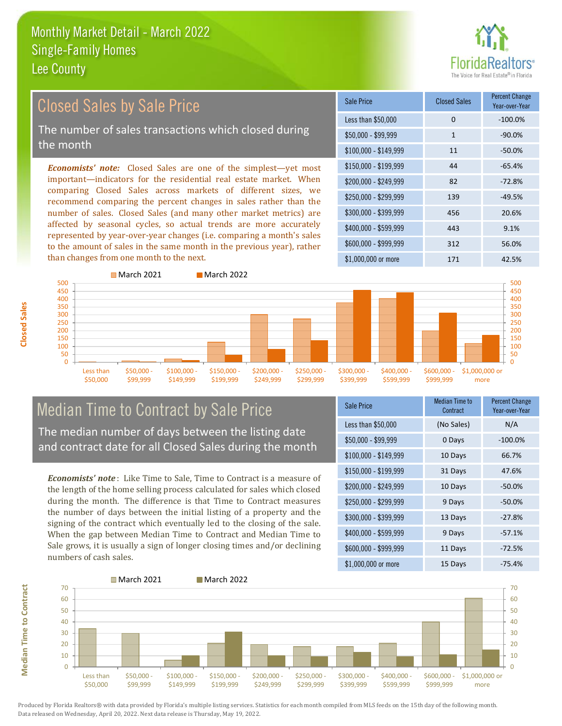

# Closed Sales by Sale Price

The number of sales transactions which closed during the month

*Economists' note:* Closed Sales are one of the simplest—yet most important—indicators for the residential real estate market. When comparing Closed Sales across markets of different sizes, we recommend comparing the percent changes in sales rather than the number of sales. Closed Sales (and many other market metrics) are affected by seasonal cycles, so actual trends are more accurately represented by year-over-year changes (i.e. comparing a month's sales to the amount of sales in the same month in the previous year), rather than changes from one month to the next.

| Sale Price            | <b>Closed Sales</b> | <b>Percent Change</b><br>Year-over-Year |
|-----------------------|---------------------|-----------------------------------------|
| Less than \$50,000    | 0                   | $-100.0%$                               |
| \$50,000 - \$99,999   | $\mathbf{1}$        | $-90.0%$                                |
| $$100,000 - $149,999$ | 11                  | $-50.0%$                                |
| $$150,000 - $199,999$ | 44                  | $-65.4%$                                |
| \$200,000 - \$249,999 | 82                  | $-72.8%$                                |
| \$250,000 - \$299,999 | 139                 | $-49.5%$                                |
| \$300,000 - \$399,999 | 456                 | 20.6%                                   |
| $$400,000 - $599,999$ | 443                 | 9.1%                                    |
| \$600,000 - \$999,999 | 312                 | 56.0%                                   |
| $$1,000,000$ or more  | 171                 | 42.5%                                   |



# Median Time to Contract by Sale Price

The median number of days between the listing date and contract date for all Closed Sales during the month

*Economists' note* : Like Time to Sale, Time to Contract is a measure of the length of the home selling process calculated for sales which closed during the month. The difference is that Time to Contract measures the number of days between the initial listing of a property and the signing of the contract which eventually led to the closing of the sale. When the gap between Median Time to Contract and Median Time to Sale grows, it is usually a sign of longer closing times and/or declining numbers of cash sales.

| Sale Price            | <b>Median Time to</b><br>Contract | <b>Percent Change</b><br>Year-over-Year |
|-----------------------|-----------------------------------|-----------------------------------------|
| Less than \$50,000    | (No Sales)                        | N/A                                     |
| \$50,000 - \$99,999   | 0 Days                            | $-100.0%$                               |
| $$100,000 - $149,999$ | 10 Days                           | 66.7%                                   |
| \$150,000 - \$199,999 | 31 Days                           | 47.6%                                   |
| \$200,000 - \$249,999 | 10 Days                           | $-50.0%$                                |
| \$250,000 - \$299,999 | 9 Days                            | $-50.0%$                                |
| \$300,000 - \$399,999 | 13 Days                           | $-27.8%$                                |
| \$400,000 - \$599,999 | 9 Days                            | $-57.1%$                                |
| \$600,000 - \$999,999 | 11 Days                           | $-72.5%$                                |
| $$1,000,000$ or more  | 15 Days                           | $-75.4%$                                |



Produced by Florida Realtors® with data provided by Florida's multiple listing services. Statistics for each month compiled from MLS feeds on the 15th day of the following month. Data released on Wednesday, April 20, 2022. Next data release is Thursday, May 19, 2022.

**Median Time to Contract Median Time to Contract**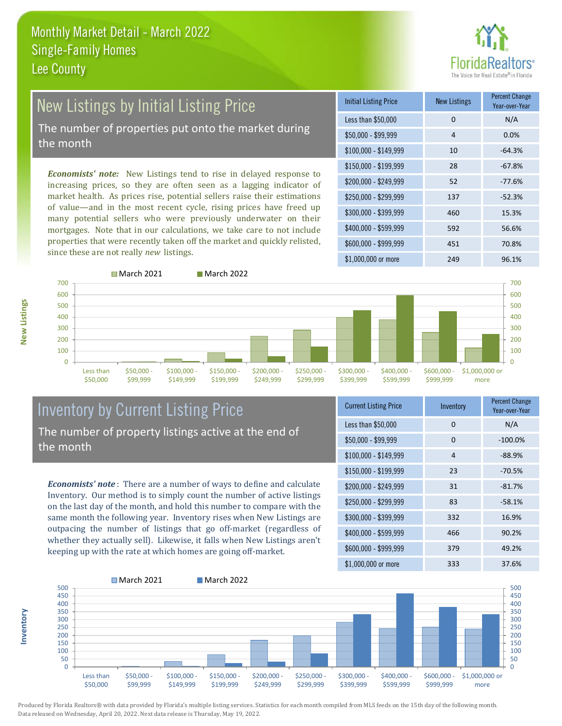# ealtors®

# New Listings by Initial Listing Price

The number of properties put onto the market during the month

*Economists' note:* New Listings tend to rise in delayed response to increasing prices, so they are often seen as a lagging indicator of market health. As prices rise, potential sellers raise their estimations of value—and in the most recent cycle, rising prices have freed up many potential sellers who were previously underwater on their mortgages. Note that in our calculations, we take care to not include properties that were recently taken off the market and quickly relisted, since these are not really *new* listings.





**Inventory**



# Inventory by Current Listing Price The number of property listings active at the end of the month

*Economists' note* : There are a number of ways to define and calculate Inventory. Our method is to simply count the number of active listings on the last day of the month, and hold this number to compare with the same month the following year. Inventory rises when New Listings are outpacing the number of listings that go off-market (regardless of whether they actually sell). Likewise, it falls when New Listings aren't keeping up with the rate at which homes are going off-market.

| <b>Current Listing Price</b> | Inventory      | <b>Percent Change</b><br>Year-over-Year |
|------------------------------|----------------|-----------------------------------------|
| Less than \$50,000           | 0              | N/A                                     |
| $$50,000 - $99,999$          | $\Omega$       | $-100.0%$                               |
| $$100,000 - $149,999$        | $\overline{4}$ | $-88.9%$                                |
| $$150,000 - $199,999$        | 23             | $-70.5%$                                |
| \$200,000 - \$249,999        | 31             | $-81.7%$                                |
| \$250,000 - \$299,999        | 83             | $-58.1%$                                |
| \$300,000 - \$399,999        | 332            | 16.9%                                   |
| $$400,000 - $599,999$        | 466            | 90.2%                                   |
| \$600,000 - \$999,999        | 379            | 49.2%                                   |
| $$1,000,000$ or more         | 333            | 37.6%                                   |